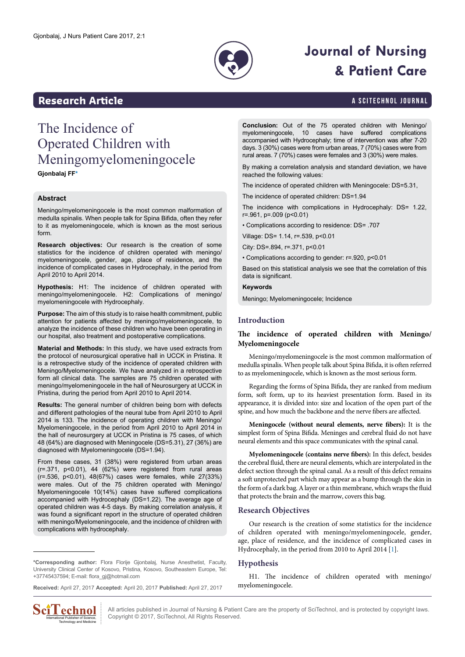

# **Journal of Nursing & Patient Care**

### <span id="page-0-1"></span>**Research Article a Scittering Control in the Scittering Article in the Scittering Article in the Scittering Library and Scittering Library and Scittering Library and Scittering Article in the Scittering Article in the S**

# The Incidence of Operated Children with Meningomyelomeningocele

**Gjonbalaj FF[\\*](#page-0-0)**

#### **Abstract**

Meningo/myelomeningocele is the most common malformation of medulla spinalis. When people talk for Spina Bifida, often they refer to it as myelomeningocele, which is known as the most serious form.

**Research objectives:** Our research is the creation of some statistics for the incidence of children operated with meningo/ myelomeningocele, gender, age, place of residence, and the incidence of complicated cases in Hydrocephaly, in the period from April 2010 to April 2014.

**Hypothesis:** H1: The incidence of children operated with meningo/myelomeningocele. H2: Complications of meningo/ myelomeningocele with Hydrocephaly.

**Purpose:** The aim of this study is to raise health commitment, public attention for patients affected by meningo/myelomeningocele, to analyze the incidence of these children who have been operating in our hospital, also treatment and postoperative complications.

**Material and Methods:** In this study, we have used extracts from the protocol of neurosurgical operative hall in UCCK in Pristina. It is a retrospective study of the incidence of operated children with Meningo/Myelomeningocele. We have analyzed in a retrospective form all clinical data. The samples are 75 children operated with meningo/myelomeningocele in the hall of Neurosurgery at UCCK in Pristina, during the period from April 2010 to April 2014.

**Results:** The general number of children being born with defects and different pathologies of the neural tube from April 2010 to April 2014 is 133. The incidence of operating children with Meningo/ Myelomeningocele, in the period from April 2010 to April 2014 in the hall of neurosurgery at UCCK in Pristina is 75 cases, of which 48 (64%) are diagnosed with Meningocele (DS=5.31), 27 (36%) are diagnosed with Myelomeningocele (DS=1.94).

From these cases, 31 (38%) were registered from urban areas (r=.371, p<0.01), 44 (62%) were registered from rural areas (r=.536, p<0.01), 48(67%) cases were females, while 27(33%) were males. Out of the 75 children operated with Meningo/ Myelomeningocele 10(14%) cases have suffered complications accompanied with Hydrocephaly (DS=1.22). The average age of operated children was 4-5 days. By making correlation analysis, it was found a significant report in the structure of operated children with meningo/Myelomeningocele, and the incidence of children with complications with hydrocephaly.

<span id="page-0-0"></span>**\*Corresponding author:** Flora Florije Gjonbalaj, Nurse Anesthetist, Faculty, University Clinical Center of Kosovo, Pristina, Kosovo, Southeastern Europe, Tel: +37745437594; E-mail: flora\_gj@hotmail.com

**Received:** April 27, 2017 **Accepted:** April 20, 2017 **Published:** April 27, 2017



**Conclusion:** Out of the 75 operated children with Meningo/ myelomeningocele, 10 cases have suffered complications accompanied with Hydrocephaly; time of intervention was after 7-20 days. 3 (30%) cases were from urban areas, 7 (70%) cases were from rural areas. 7 (70%) cases were females and 3 (30%) were males.

By making a correlation analysis and standard deviation, we have reached the following values:

The incidence of operated children with Meningocele: DS=5.31,

The incidence of operated children: DS=1.94

The incidence with complications in Hydrocephaly: DS= 1.22, r=.961, p=.009 (p<0.01)

• Complications according to residence: DS= .707

Village: DS= 1.14, r=.539, p<0.01

City: DS=.894, r=.371, p<0.01

• Complications according to gender: r=.920, p<0.01

Based on this statistical analysis we see that the correlation of this data is significant.

### **Keywords**

Meningo; Myelomeningocele; Incidence

#### **Introduction**

#### **The incidence of operated children with Meningo/ Myelomeningocele**

Meningo/myelomeningocele is the most common malformation of medulla spinalis. When people talk about Spina Bifida, it is often referred to as myelomeningocele, which is known as the most serious form.

Regarding the forms of Spina Bifida, they are ranked from medium form, soft form, up to its heaviest presentation form. Based in its appearance, it is divided into: size and location of the open part of the spine, and how much the backbone and the nerve fibers are affected.

**Meningocele (without neural elements, nerve fibers):** It is the simplest form of Spina Bifida. Meninges and cerebral fluid do not have neural elements and this space communicates with the spinal canal.

**Myelomeningocele (contains nerve fibers):** In this defect, besides the cerebral fluid, there are neural elements, which are interpolated in the defect section through the spinal canal. As a result of this defect remains a soft unprotected part which may appear as a bump through the skin in the form of a dark bag. A layer or a thin membrane, which wraps the fluid that protects the brain and the marrow, covers this bag.

#### **Research Objectives**

Our research is the creation of some statistics for the incidence of children operated with meningo/myelomeningocele, gender, age, place of residence, and the incidence of complicated cases in Hydrocephaly, in the period from 2010 to April 2014 [[1\]](#page-4-0).

#### **Hypothesis**

H1. The incidence of children operated with meningo/ myelomeningocele.

All articles published in Journal of Nursing & Patient Care are the property of SciTechnol, and is protected by copyright laws. Copyright © 2017, SciTechnol, All Rights Reserved.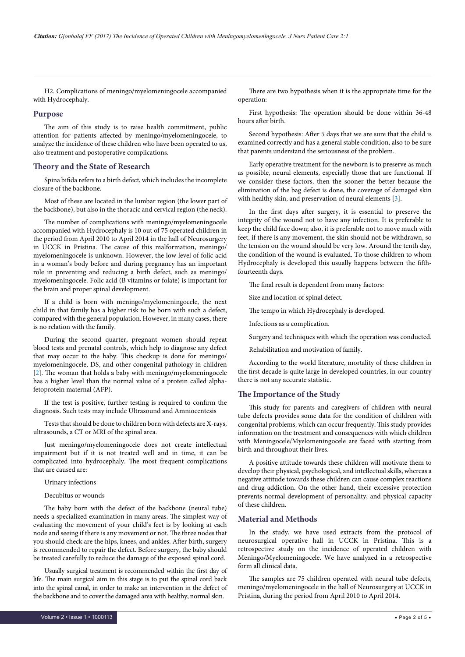H2. Complications of meningo/myelomeningocele accompanied with Hydrocephaly.

#### **Purpose**

The aim of this study is to raise health commitment, public attention for patients affected by meningo/myelomeningocele, to analyze the incidence of these children who have been operated to us, also treatment and postoperative complications.

#### **Theory and the State of Research**

Spina bifida refers to a birth defect, which includes the incomplete closure of the backbone.

Most of these are located in the lumbar region (the lower part of the backbone), but also in the thoracic and cervical region (the neck).

The number of complications with meningo/myelomeningocele accompanied with Hydrocephaly is 10 out of 75 operated children in the period from April 2010 to April 2014 in the hall of Neurosurgery in UCCK in Pristina. The cause of this malformation, meningo/ myelomeningocele is unknown. However, the low level of folic acid in a woman's body before and during pregnancy has an important role in preventing and reducing a birth defect, such as meningo/ myelomeningocele. Folic acid (B vitamins or folate) is important for the brain and proper spinal development.

If a child is born with meningo/myelomeningocele, the next child in that family has a higher risk to be born with such a defect, compared with the general population. However, in many cases, there is no relation with the family.

During the second quarter, pregnant women should repeat blood tests and prenatal controls, which help to diagnose any defect that may occur to the baby. This checkup is done for meningo/ myelomeningocele, DS, and other congenital pathology in children [[2\]](#page-4-2). The woman that holds a baby with meningo/myelomeningocele has a higher level than the normal value of a protein called alphafetoprotein maternal (AFP).

If the test is positive, further testing is required to confirm the diagnosis. Such tests may include Ultrasound and Amniocentesis

Tests that should be done to children born with defects are X-rays, ultrasounds, a CT or MRI of the spinal area.

Just meningo/myelomeningocele does not create intellectual impairment but if it is not treated well and in time, it can be complicated into hydrocephaly. The most frequent complications that are caused are:

Urinary infections

Decubitus or wounds

The baby born with the defect of the backbone (neural tube) needs a specialized examination in many areas. The simplest way of evaluating the movement of your child's feet is by looking at each node and seeing if there is any movement or not. The three nodes that you should check are the hips, knees, and ankles. After birth, surgery is recommended to repair the defect. Before surgery, the baby should be treated carefully to reduce the damage of the exposed spinal cord.

Usually surgical treatment is recommended within the first day of life. The main surgical aim in this stage is to put the spinal cord back into the spinal canal, in order to make an intervention in the defect of the backbone and to cover the damaged area with healthy, normal skin.

There are two hypothesis when it is the appropriate time for the operation:

First hypothesis: The operation should be done within 36-48 hours after birth.

Second hypothesis: After 5 days that we are sure that the child is examined correctly and has a general stable condition, also to be sure that parents understand the seriousness of the problem.

Early operative treatment for the newborn is to preserve as much as possible, neural elements, especially those that are functional. If we consider these factors, then the sooner the better because the elimination of the bag defect is done, the coverage of damaged skin with healthy skin, and preservation of neural elements [\[3\]](#page-4-1).

In the first days after surgery, it is essential to preserve the integrity of the wound not to have any infection. It is preferable to keep the child face down; also, it is preferable not to move much with feet, if there is any movement, the skin should not be withdrawn, so the tension on the wound should be very low. Around the tenth day, the condition of the wound is evaluated. To those children to whom Hydrocephaly is developed this usually happens between the fifthfourteenth days.

The final result is dependent from many factors:

Size and location of spinal defect.

The tempo in which Hydrocephaly is developed.

Infections as a complication.

Surgery and techniques with which the operation was conducted.

Rehabilitation and motivation of family.

According to the world literature, mortality of these children in the first decade is quite large in developed countries, in our country there is not any accurate statistic.

#### **The Importance of the Study**

This study for parents and caregivers of children with neural tube defects provides some data for the condition of children with congenital problems, which can occur frequently. This study provides information on the treatment and consequences with which children with Meningocele/Myelomeningocele are faced with starting from birth and throughout their lives.

A positive attitude towards these children will motivate them to develop their physical, psychological, and intellectual skills, whereas a negative attitude towards these children can cause complex reactions and drug addiction. On the other hand, their excessive protection prevents normal development of personality, and physical capacity of these children.

#### **Material and Methods**

In the study, we have used extracts from the protocol of neurosurgical operative hall in UCCK in Pristina. This is a retrospective study on the incidence of operated children with Meningo/Myelomeningocele. We have analyzed in a retrospective form all clinical data.

The samples are 75 children operated with neural tube defects, meningo/myelomeningocele in the hall of Neurosurgery at UCCK in Pristina, during the period from April 2010 to April 2014.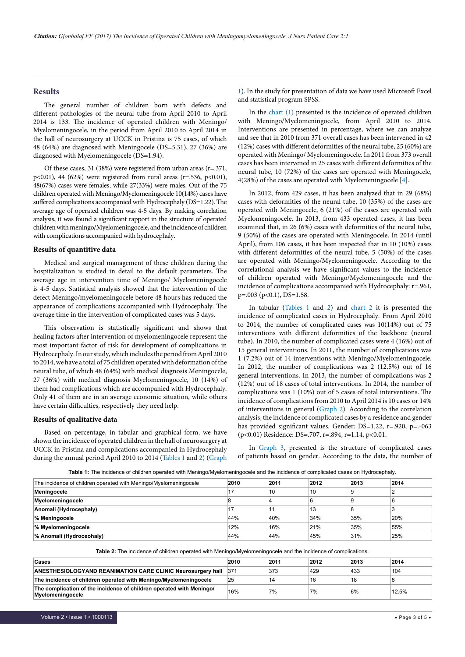#### **Results**

The general number of children born with defects and different pathologies of the neural tube from April 2010 to April 2014 is 133. The incidence of operated children with Meningo/ Myelomeningocele, in the period from April 2010 to April 2014 in the hall of neurosurgery at UCCK in Pristina is 75 cases, of which 48 (64%) are diagnosed with Meningocele (DS=5.31), 27 (36%) are diagnosed with Myelomeningocele (DS=1.94).

Of these cases, 31 (38%) were registered from urban areas  $(r=.371, ...)$ p<0.01), 44 (62%) were registered from rural areas (r=.536, p<0.01), 48(67%) cases were females, while 27(33%) were males. Out of the 75 children operated with Meningo/Myelomeningocele 10(14%) cases have suffered complications accompanied with Hydrocephaly (DS=1.22). The average age of operated children was 4-5 days. By making correlation analysis, it was found a significant rapport in the structure of operated children with meningo/Myelomeningocele, and the incidence of children with complications accompanied with hydrocephaly.

#### **Results of quantitive data**

Medical and surgical management of these children during the hospitalization is studied in detail to the default parameters. The average age in intervention time of Meningo/ Myelomeningocele is 4-5 days. Statistical analysis showed that the intervention of the defect Meningo/myelomeningocele before 48 hours has reduced the appearance of complications accompanied with Hydrocephaly. The average time in the intervention of complicated cases was 5 days.

This observation is statistically significant and shows that healing factors after intervention of myelomeningocele represent the most important factor of risk for development of complications in Hydrocephaly. In our study, which includes the period from April 2010 to 2014, we have a total of 75 children operated with deformation of the neural tube, of which 48 (64%) with medical diagnosis Meningocele, 27 (36%) with medical diagnosis Myelomeningocele, 10 (14%) of them had complications which are accompanied with Hydrocephaly. Only 41 of them are in an average economic situation, while others have certain difficulties, respectively they need help.

#### **Results of qualitative data**

Based on percentage, in tabular and graphical form, we have shown the incidence of operated children in the hall of neurosurgery at UCCK in Pristina and complications accompanied in Hydrocephaly during the annual period April 2010 to 2014 [\(Tables 1](#page-2-0) and [2](#page-2-1)) ([Graph](#page-3-0)

[1](#page-3-0)). In the study for presentation of data we have used Microsoft Excel and statistical program SPSS.

In the [chart \(1\)](#page-3-0) presented is the incidence of operated children with Meningo/Myelomeningocele, from April 2010 to 2014. Interventions are presented in percentage, where we can analyze and see that in 2010 from 371 overall cases has been intervened in 42 (12%) cases with different deformities of the neural tube, 25 (60%) are operated with Meningo/ Myelomeningocele. In 2011 from 373 overall cases has been intervened in 25 cases with different deformities of the neural tube, 10 (72%) of the cases are operated with Meningocele, 4(28%) of the cases are operated with Myelomeningocele [[4](#page-4-3)].

In 2012, from 429 cases, it has been analyzed that in 29 (68%) cases with deformities of the neural tube, 10 (35%) of the cases are operated with Meningocele, 6 (21%) of the cases are operated with Myelomeningocele. In 2013, from 433 operated cases, it has been examined that, in 26 (6%) cases with deformities of the neural tube, 9 (50%) of the cases are operated with Meningocele. In 2014 (until April), from 106 cases, it has been inspected that in 10 (10%) cases with different deformities of the neural tube, 5 (50%) of the cases are operated with Meningo/Myelomeningocele. According to the correlational analysis we have significant values to the incidence of children operated with Meningo/Myelomeningocele and the incidence of complications accompanied with Hydrocephaly: r=.961, p=.003 (p<0.1), DS=1.58.

In tabular ([Tables 1](#page-2-0) and [2](#page-2-1)) and [chart 2](#page-3-1) it is presented the incidence of complicated cases in Hydrocephaly. From April 2010 to 2014, the number of complicated cases was 10(14%) out of 75 interventions with different deformities of the backbone (neural tube). In 2010, the number of complicated cases were 4 (16%) out of 15 general interventions. In 2011, the number of complications was 1 (7.2%) out of 14 interventions with Meningo/Myelomeningocele. In 2012, the number of complications was 2 (12.5%) out of 16 general interventions. In 2013, the number of complications was 2 (12%) out of 18 cases of total interventions. In 2014, the number of complications was 1 (10%) out of 5 cases of total interventions. The incidence of complications from 2010 to April 2014 is 10 cases or 14% of interventions in general ([Graph 2](#page-4-4)). According to the correlation analysis, the incidence of complicated cases by a residence and gender has provided significant values. Gender: DS=1.22, r=.920, p=.-063 (p<0.01) Residence: DS=.707, r=.894, r=1.14, p<0.01.

In [Graph 3](#page-4-5), presented is the structure of complicated cases of patients based on gender. According to the data, the number of

| The incidence of children operated with Meningo/Myelomeningocele | 2010 | 2011 | 2012 | 2013 | 2014 |
|------------------------------------------------------------------|------|------|------|------|------|
| Meningocele                                                      | 17   | 10   | 10   |      | ◠    |
| Myelomeningocele                                                 |      | 4    | 6    |      | 6    |
| Anomali (Hydrocephaly)                                           |      |      | 13   |      | 3    |
| % Meningocele                                                    | 44%  | 40%  | 34%  | 35%  | 20%  |
| % Myelomeningocele                                               | 12%  | 16%  | 21%  | 35%  | 55%  |
| % Anomali (Hydroceohaly)                                         | 44%  | 44%  | 45%  | 31%  | 25%  |

<span id="page-2-0"></span>**Table 1:** The incidence of children operated with Meningo/Myelomeningocele and the incidence of complicated cases on Hydrocephaly.

<span id="page-2-1"></span>

| Table 2: The incidence of children operated with Meningo/Myelomeningocele and the incidence of complications. |  |
|---------------------------------------------------------------------------------------------------------------|--|
|---------------------------------------------------------------------------------------------------------------|--|

| Cases                                                                                    | 2010 | 2011 | 2012 | 2013 | 2014     |
|------------------------------------------------------------------------------------------|------|------|------|------|----------|
| <b>ANESTHESIOLOGYAND REANIMATION CARE CLINIC Neurosurgery hall</b>                       | 371  | 373  | 429  | 433  | 104      |
| The incidence of children operated with Meningo/Myelomeningocele                         | 25   | 14   | 16   | 18   |          |
| The complication of the incidence of children operated with Meningo/<br>Myelomeningocele | 16%  | 7%   | 7%   | 6%   | $12.5\%$ |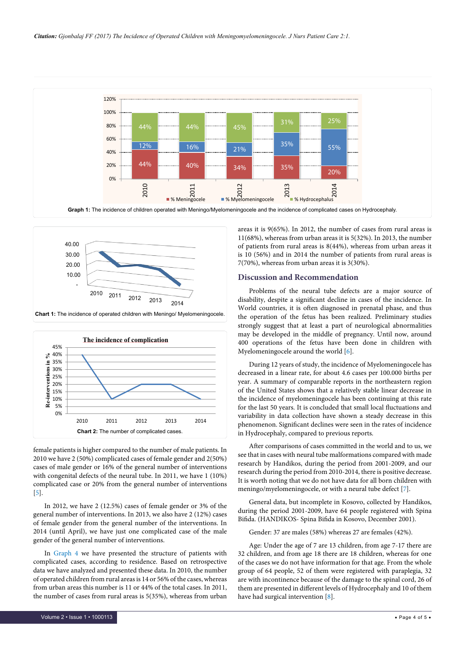

<span id="page-3-0"></span>

<span id="page-3-1"></span>

female patients is higher compared to the number of male patients. In 2010 we have 2 (50%) complicated cases of female gender and 2(50%) cases of male gender or 16% of the general number of interventions with congenital defects of the neural tube. In 2011, we have 1 (10%) complicated case or 20% from the general number of interventions [[5\]](#page-4-6).

In 2012, we have 2 (12.5%) cases of female gender or 3% of the general number of interventions. In 2013, we also have 2 (12%) cases of female gender from the general number of the interventions. In 2014 (until April), we have just one complicated case of the male gender of the general number of interventions.

In [Graph 4](#page-4-7) we have presented the structure of patients with complicated cases, according to residence. Based on retrospective data we have analyzed and presented these data. In 2010, the number of operated children from rural areas is 14 or 56% of the cases, whereas from urban areas this number is 11 or 44% of the total cases. In 2011, the number of cases from rural areas is 5(35%), whereas from urban areas it is 9(65%). In 2012, the number of cases from rural areas is 11(68%), whereas from urban areas it is 5(32%). In 2013, the number of patients from rural areas is 8(44%), whereas from urban areas it is 10 (56%) and in 2014 the number of patients from rural areas is 7(70%), whereas from urban areas it is 3(30%).

#### **Discussion and Recommendation**

Problems of the neural tube defects are a major source of disability, despite a significant decline in cases of the incidence. In World countries, it is often diagnosed in prenatal phase, and thus the operation of the fetus has been realized. Preliminary studies strongly suggest that at least a part of neurological abnormalities may be developed in the middle of pregnancy. Until now, around 400 operations of the fetus have been done in children with Myelomeningocele around the world [[6\]](#page-4-8).

During 12 years of study, the incidence of Myelomeningocele has decreased in a linear rate, for about 4.6 cases per 100.000 births per year. A summary of comparable reports in the northeastern region of the United States shows that a relatively stable linear decrease in the incidence of myelomeningocele has been continuing at this rate for the last 50 years. It is concluded that small local fluctuations and variability in data collection have shown a steady decrease in this phenomenon. Significant declines were seen in the rates of incidence in Hydrocephaly, compared to previous reports.

After comparisons of cases committed in the world and to us, we see that in cases with neural tube malformations compared with made research by Handikos, during the period from 2001-2009, and our research during the period from 2010-2014, there is positive decrease. It is worth noting that we do not have data for all born children with meningo/myelomeningocele, or with a neural tube defect [\[7\]](#page-4-9).

General data, but incomplete in Kosovo, collected by Handikos, during the period 2001-2009, have 64 people registered with Spina Bifida. (HANDIKOS- Spina Bifida in Kosovo, December 2001).

Gender: 37 are males (58%) whereas 27 are females (42%).

Age: Under the age of 7 are 13 children, from age 7-17 there are 32 children, and from age 18 there are 18 children, whereas for one of the cases we do not have information for that age. From the whole group of 64 people, 52 of them were registered with paraplegia, 32 are with incontinence because of the damage to the spinal cord, 26 of them are presented in different levels of Hydrocephaly and 10 of them have had surgical intervention [\[8](#page-4-10)].